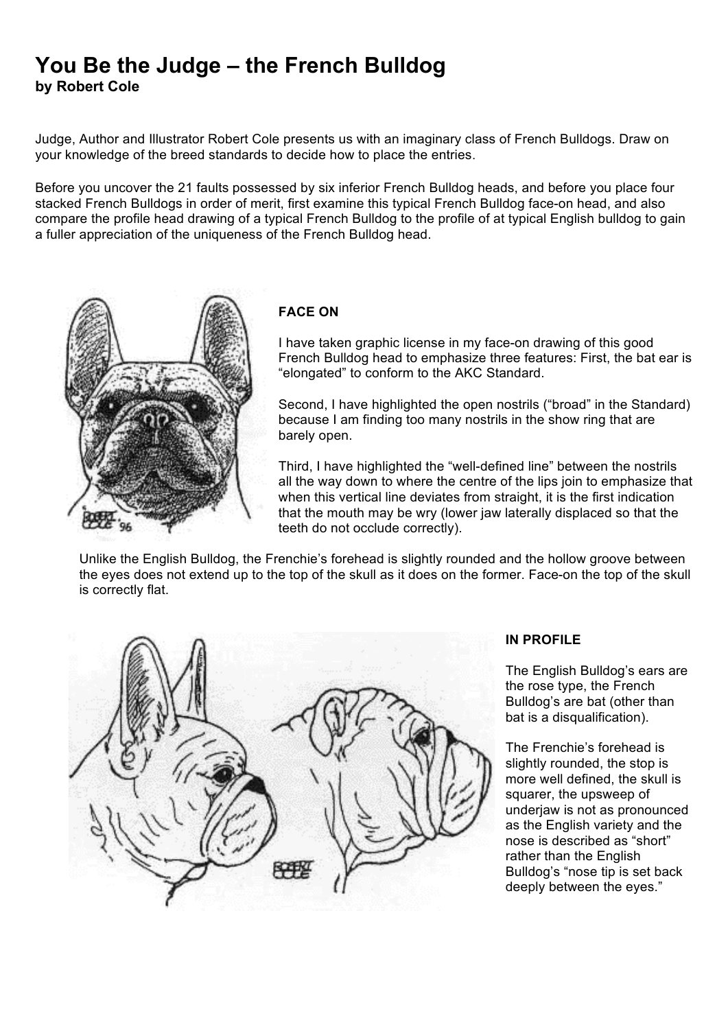## **You Be the Judge – the French Bulldog by Robert Cole**

Judge, Author and Illustrator Robert Cole presents us with an imaginary class of French Bulldogs. Draw on your knowledge of the breed standards to decide how to place the entries.

Before you uncover the 21 faults possessed by six inferior French Bulldog heads, and before you place four stacked French Bulldogs in order of merit, first examine this typical French Bulldog face-on head, and also compare the profile head drawing of a typical French Bulldog to the profile of at typical English bulldog to gain a fuller appreciation of the uniqueness of the French Bulldog head.



## **FACE ON**

I have taken graphic license in my face-on drawing of this good French Bulldog head to emphasize three features: First, the bat ear is "elongated" to conform to the AKC Standard.

Second, I have highlighted the open nostrils ("broad" in the Standard) because I am finding too many nostrils in the show ring that are barely open.

Third, I have highlighted the "well-defined line" between the nostrils all the way down to where the centre of the lips join to emphasize that when this vertical line deviates from straight, it is the first indication that the mouth may be wry (lower jaw laterally displaced so that the teeth do not occlude correctly).

Unlike the English Bulldog, the Frenchie's forehead is slightly rounded and the hollow groove between the eyes does not extend up to the top of the skull as it does on the former. Face-on the top of the skull is correctly flat.



## **IN PROFILE**

The English Bulldog's ears are the rose type, the French Bulldog's are bat (other than bat is a disqualification).

The Frenchie's forehead is slightly rounded, the stop is more well defined, the skull is squarer, the upsweep of underjaw is not as pronounced as the English variety and the nose is described as "short" rather than the English Bulldog's "nose tip is set back deeply between the eyes."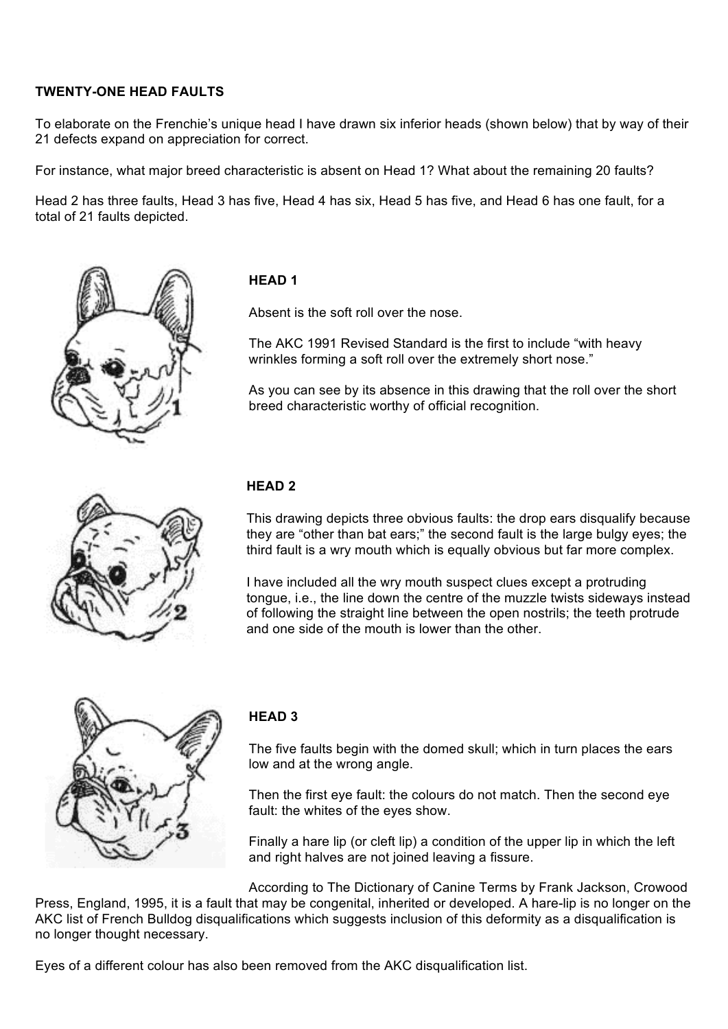## **TWENTY-ONE HEAD FAULTS**

To elaborate on the Frenchie's unique head I have drawn six inferior heads (shown below) that by way of their 21 defects expand on appreciation for correct.

For instance, what major breed characteristic is absent on Head 1? What about the remaining 20 faults?

Head 2 has three faults, Head 3 has five, Head 4 has six, Head 5 has five, and Head 6 has one fault, for a total of 21 faults depicted.



## **HEAD 1**

Absent is the soft roll over the nose.

The AKC 1991 Revised Standard is the first to include "with heavy wrinkles forming a soft roll over the extremely short nose."

As you can see by its absence in this drawing that the roll over the short breed characteristic worthy of official recognition.



### **HEAD 2**

This drawing depicts three obvious faults: the drop ears disqualify because they are "other than bat ears;" the second fault is the large bulgy eyes; the third fault is a wry mouth which is equally obvious but far more complex.

I have included all the wry mouth suspect clues except a protruding tongue, i.e., the line down the centre of the muzzle twists sideways instead of following the straight line between the open nostrils; the teeth protrude and one side of the mouth is lower than the other.



### **HEAD 3**

The five faults begin with the domed skull; which in turn places the ears low and at the wrong angle.

Then the first eye fault: the colours do not match. Then the second eye fault: the whites of the eyes show.

Finally a hare lip (or cleft lip) a condition of the upper lip in which the left and right halves are not joined leaving a fissure.

According to The Dictionary of Canine Terms by Frank Jackson, Crowood Press, England, 1995, it is a fault that may be congenital, inherited or developed. A hare-lip is no longer on the AKC list of French Bulldog disqualifications which suggests inclusion of this deformity as a disqualification is no longer thought necessary.

Eyes of a different colour has also been removed from the AKC disqualification list.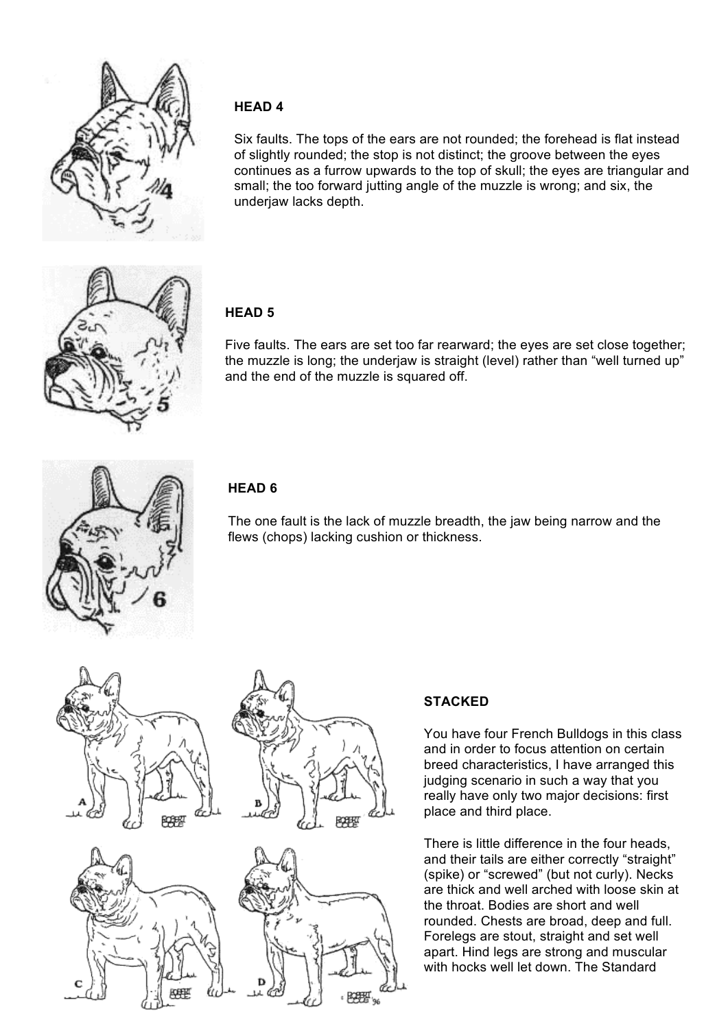

### **HEAD 4**

Six faults. The tops of the ears are not rounded; the forehead is flat instead of slightly rounded; the stop is not distinct; the groove between the eyes continues as a furrow upwards to the top of skull; the eyes are triangular and small; the too forward jutting angle of the muzzle is wrong; and six, the underjaw lacks depth.



## **HEAD 5**

Five faults. The ears are set too far rearward; the eyes are set close together; the muzzle is long; the underjaw is straight (level) rather than "well turned up" and the end of the muzzle is squared off.



## **HEAD 6**

The one fault is the lack of muzzle breadth, the jaw being narrow and the flews (chops) lacking cushion or thickness.



# **STACKED**

You have four French Bulldogs in this class and in order to focus attention on certain breed characteristics, I have arranged this judging scenario in such a way that you really have only two major decisions: first place and third place.

There is little difference in the four heads, and their tails are either correctly "straight" (spike) or "screwed" (but not curly). Necks are thick and well arched with loose skin at the throat. Bodies are short and well rounded. Chests are broad, deep and full. Forelegs are stout, straight and set well apart. Hind legs are strong and muscular with hocks well let down. The Standard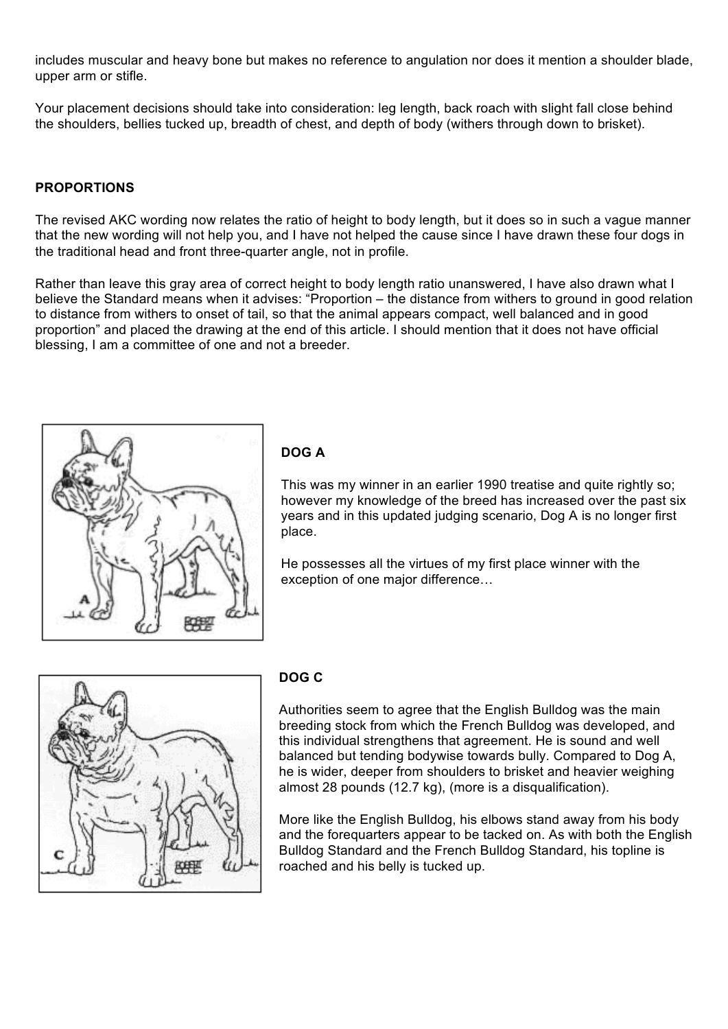includes muscular and heavy bone but makes no reference to angulation nor does it mention a shoulder blade, upper arm or stifle.

Your placement decisions should take into consideration: leg length, back roach with slight fall close behind the shoulders, bellies tucked up, breadth of chest, and depth of body (withers through down to brisket).

#### **PROPORTIONS**

The revised AKC wording now relates the ratio of height to body length, but it does so in such a vague manner that the new wording will not help you, and I have not helped the cause since I have drawn these four dogs in the traditional head and front three-quarter angle, not in profile.

Rather than leave this gray area of correct height to body length ratio unanswered, I have also drawn what I believe the Standard means when it advises: "Proportion – the distance from withers to ground in good relation to distance from withers to onset of tail, so that the animal appears compact, well balanced and in good proportion" and placed the drawing at the end of this article. I should mention that it does not have official blessing, I am a committee of one and not a breeder.



## **DOG A**

This was my winner in an earlier 1990 treatise and quite rightly so; however my knowledge of the breed has increased over the past six years and in this updated judging scenario, Dog A is no longer first place.

He possesses all the virtues of my first place winner with the exception of one major difference…



### **DOG C**

Authorities seem to agree that the English Bulldog was the main breeding stock from which the French Bulldog was developed, and this individual strengthens that agreement. He is sound and well balanced but tending bodywise towards bully. Compared to Dog A, he is wider, deeper from shoulders to brisket and heavier weighing almost 28 pounds (12.7 kg), (more is a disqualification).

More like the English Bulldog, his elbows stand away from his body and the forequarters appear to be tacked on. As with both the English Bulldog Standard and the French Bulldog Standard, his topline is roached and his belly is tucked up.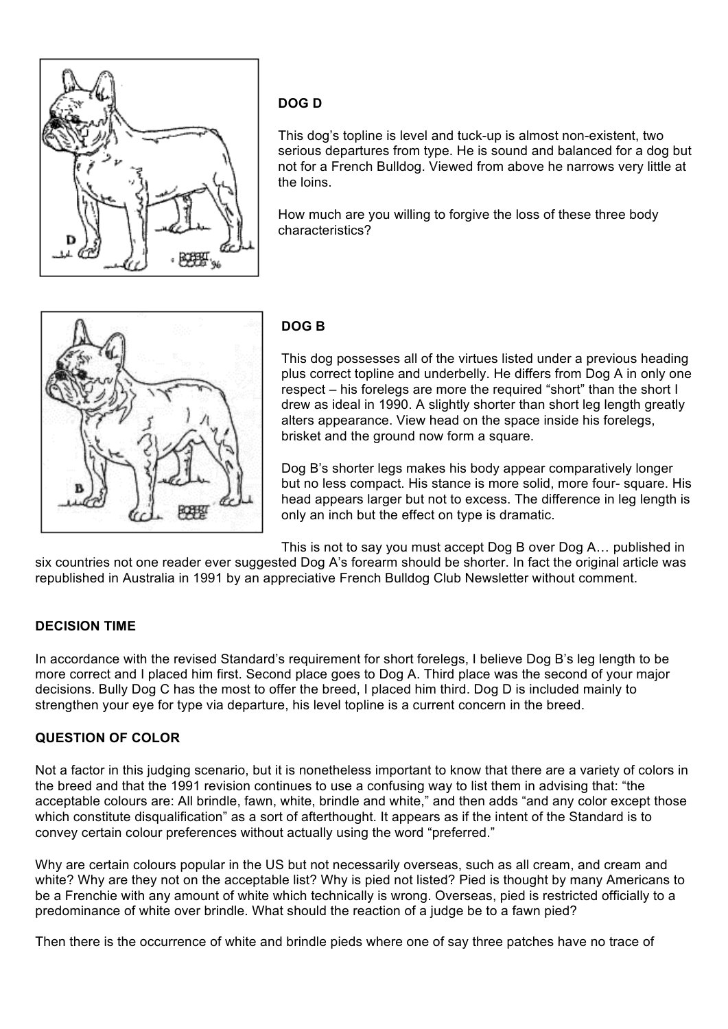

## **DOG D**

This dog's topline is level and tuck-up is almost non-existent, two serious departures from type. He is sound and balanced for a dog but not for a French Bulldog. Viewed from above he narrows very little at the loins.

How much are you willing to forgive the loss of these three body characteristics?



## **DOG B**

This dog possesses all of the virtues listed under a previous heading plus correct topline and underbelly. He differs from Dog A in only one respect – his forelegs are more the required "short" than the short I drew as ideal in 1990. A slightly shorter than short leg length greatly alters appearance. View head on the space inside his forelegs, brisket and the ground now form a square.

Dog B's shorter legs makes his body appear comparatively longer but no less compact. His stance is more solid, more four- square. His head appears larger but not to excess. The difference in leg length is only an inch but the effect on type is dramatic.

This is not to say you must accept Dog B over Dog A… published in

six countries not one reader ever suggested Dog A's forearm should be shorter. In fact the original article was republished in Australia in 1991 by an appreciative French Bulldog Club Newsletter without comment.

### **DECISION TIME**

In accordance with the revised Standard's requirement for short forelegs, I believe Dog B's leg length to be more correct and I placed him first. Second place goes to Dog A. Third place was the second of your major decisions. Bully Dog C has the most to offer the breed, I placed him third. Dog D is included mainly to strengthen your eye for type via departure, his level topline is a current concern in the breed.

## **QUESTION OF COLOR**

Not a factor in this judging scenario, but it is nonetheless important to know that there are a variety of colors in the breed and that the 1991 revision continues to use a confusing way to list them in advising that: "the acceptable colours are: All brindle, fawn, white, brindle and white," and then adds "and any color except those which constitute disqualification" as a sort of afterthought. It appears as if the intent of the Standard is to convey certain colour preferences without actually using the word "preferred."

Why are certain colours popular in the US but not necessarily overseas, such as all cream, and cream and white? Why are they not on the acceptable list? Why is pied not listed? Pied is thought by many Americans to be a Frenchie with any amount of white which technically is wrong. Overseas, pied is restricted officially to a predominance of white over brindle. What should the reaction of a judge be to a fawn pied?

Then there is the occurrence of white and brindle pieds where one of say three patches have no trace of